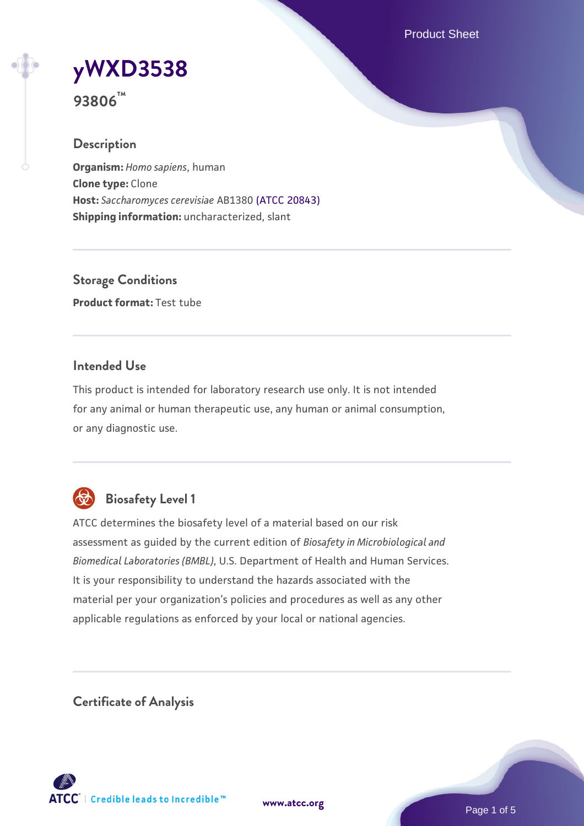Product Sheet

# **[yWXD3538](https://www.atcc.org/products/93806)**

**93806™**

## **Description**

**Organism:** *Homo sapiens*, human **Clone type:** Clone **Host:** *Saccharomyces cerevisiae* AB1380 [\(ATCC 20843\)](https://www.atcc.org/products/20843) **Shipping information:** uncharacterized, slant

**Storage Conditions Product format:** Test tube

## **Intended Use**

This product is intended for laboratory research use only. It is not intended for any animal or human therapeutic use, any human or animal consumption, or any diagnostic use.



# **Biosafety Level 1**

ATCC determines the biosafety level of a material based on our risk assessment as guided by the current edition of *Biosafety in Microbiological and Biomedical Laboratories (BMBL)*, U.S. Department of Health and Human Services. It is your responsibility to understand the hazards associated with the material per your organization's policies and procedures as well as any other applicable regulations as enforced by your local or national agencies.

**Certificate of Analysis**

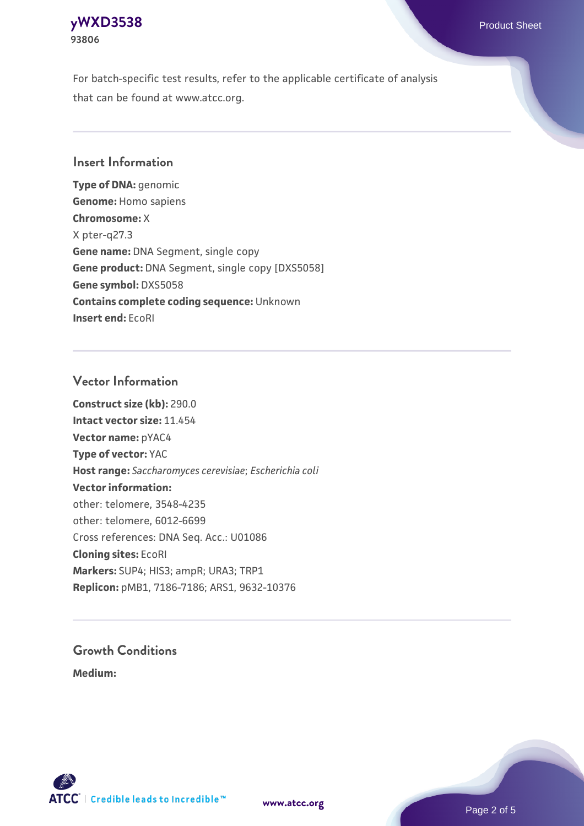## **[yWXD3538](https://www.atcc.org/products/93806)** Product Sheet **93806**

For batch-specific test results, refer to the applicable certificate of analysis that can be found at www.atcc.org.

## **Insert Information**

**Type of DNA:** genomic **Genome:** Homo sapiens **Chromosome:** X X pter-q27.3 **Gene name:** DNA Segment, single copy **Gene product:** DNA Segment, single copy [DXS5058] **Gene symbol:** DXS5058 **Contains complete coding sequence:** Unknown **Insert end:** EcoRI

## **Vector Information**

**Construct size (kb):** 290.0 **Intact vector size:** 11.454 **Vector name:** pYAC4 **Type of vector:** YAC **Host range:** *Saccharomyces cerevisiae*; *Escherichia coli* **Vector information:** other: telomere, 3548-4235 other: telomere, 6012-6699 Cross references: DNA Seq. Acc.: U01086 **Cloning sites:** EcoRI **Markers:** SUP4; HIS3; ampR; URA3; TRP1 **Replicon:** pMB1, 7186-7186; ARS1, 9632-10376

# **Growth Conditions**

**Medium:** 



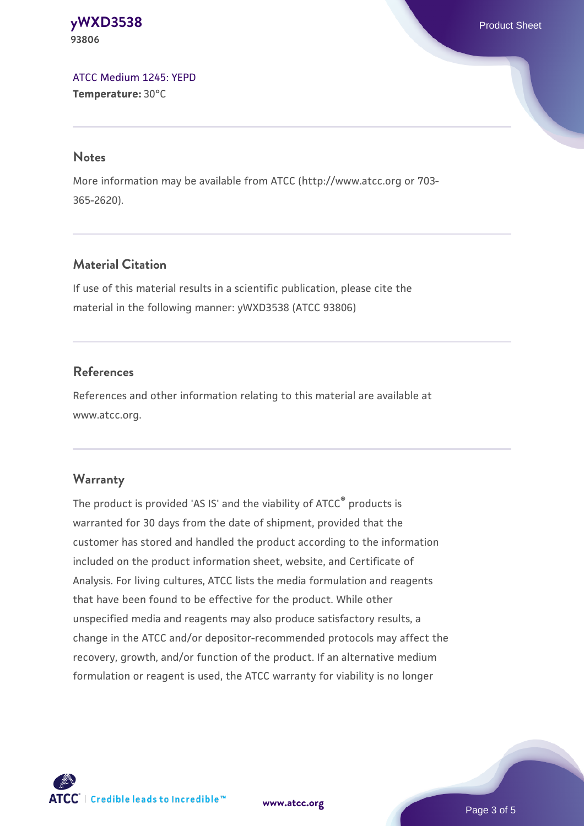#### **[yWXD3538](https://www.atcc.org/products/93806)** Product Sheet **93806**

[ATCC Medium 1245: YEPD](https://www.atcc.org/-/media/product-assets/documents/microbial-media-formulations/1/2/4/5/atcc-medium-1245.pdf?rev=705ca55d1b6f490a808a965d5c072196) **Temperature:** 30°C

#### **Notes**

More information may be available from ATCC (http://www.atcc.org or 703- 365-2620).

## **Material Citation**

If use of this material results in a scientific publication, please cite the material in the following manner: yWXD3538 (ATCC 93806)

## **References**

References and other information relating to this material are available at www.atcc.org.

## **Warranty**

The product is provided 'AS IS' and the viability of ATCC® products is warranted for 30 days from the date of shipment, provided that the customer has stored and handled the product according to the information included on the product information sheet, website, and Certificate of Analysis. For living cultures, ATCC lists the media formulation and reagents that have been found to be effective for the product. While other unspecified media and reagents may also produce satisfactory results, a change in the ATCC and/or depositor-recommended protocols may affect the recovery, growth, and/or function of the product. If an alternative medium formulation or reagent is used, the ATCC warranty for viability is no longer



**[www.atcc.org](http://www.atcc.org)**

Page 3 of 5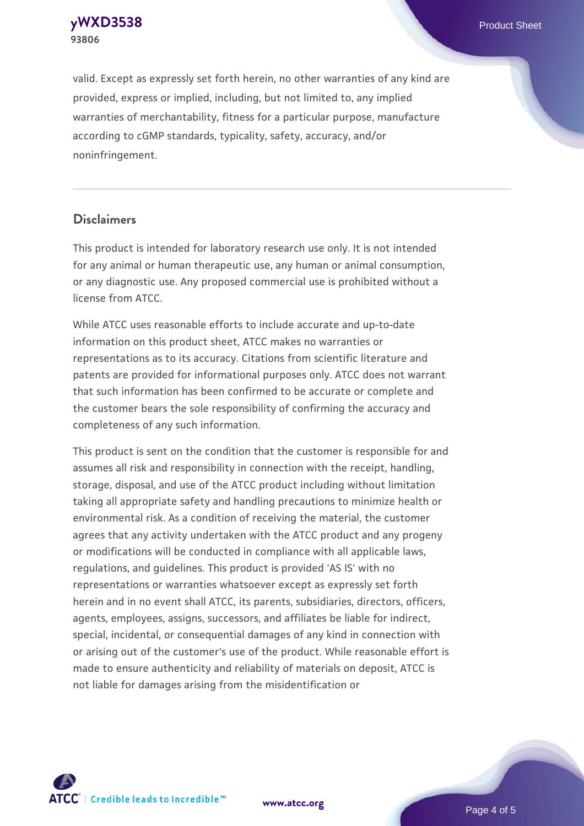**[yWXD3538](https://www.atcc.org/products/93806)** Product Sheet **93806**

valid. Except as expressly set forth herein, no other warranties of any kind are provided, express or implied, including, but not limited to, any implied warranties of merchantability, fitness for a particular purpose, manufacture according to cGMP standards, typicality, safety, accuracy, and/or noninfringement.

#### **Disclaimers**

This product is intended for laboratory research use only. It is not intended for any animal or human therapeutic use, any human or animal consumption, or any diagnostic use. Any proposed commercial use is prohibited without a license from ATCC.

While ATCC uses reasonable efforts to include accurate and up-to-date information on this product sheet, ATCC makes no warranties or representations as to its accuracy. Citations from scientific literature and patents are provided for informational purposes only. ATCC does not warrant that such information has been confirmed to be accurate or complete and the customer bears the sole responsibility of confirming the accuracy and completeness of any such information.

This product is sent on the condition that the customer is responsible for and assumes all risk and responsibility in connection with the receipt, handling, storage, disposal, and use of the ATCC product including without limitation taking all appropriate safety and handling precautions to minimize health or environmental risk. As a condition of receiving the material, the customer agrees that any activity undertaken with the ATCC product and any progeny or modifications will be conducted in compliance with all applicable laws, regulations, and guidelines. This product is provided 'AS IS' with no representations or warranties whatsoever except as expressly set forth herein and in no event shall ATCC, its parents, subsidiaries, directors, officers, agents, employees, assigns, successors, and affiliates be liable for indirect, special, incidental, or consequential damages of any kind in connection with or arising out of the customer's use of the product. While reasonable effort is made to ensure authenticity and reliability of materials on deposit, ATCC is not liable for damages arising from the misidentification or



**[www.atcc.org](http://www.atcc.org)**

Page 4 of 5